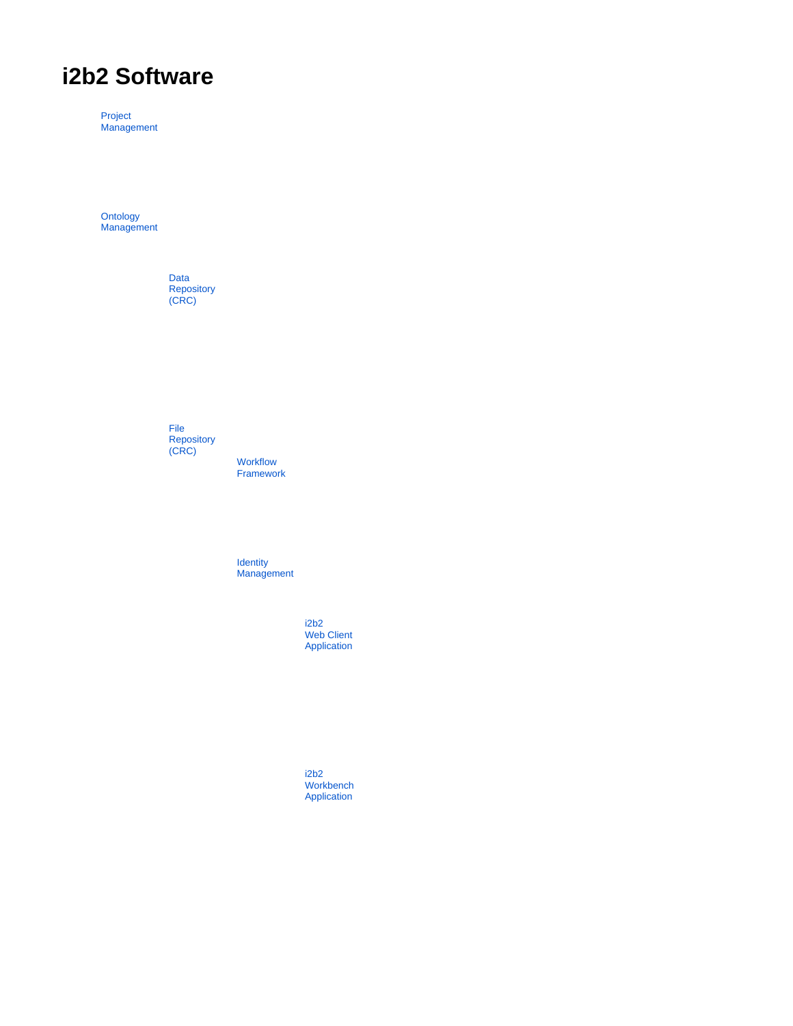# **i2b2 Software**

Project **Management** 

**Ontology Management** 

> Data **Repository** (CRC)

File **Repository** (CRC)

**Workflow** Framework

**Identity Management** 

> i2b2 Web Client Application

i2b2 Workbench Application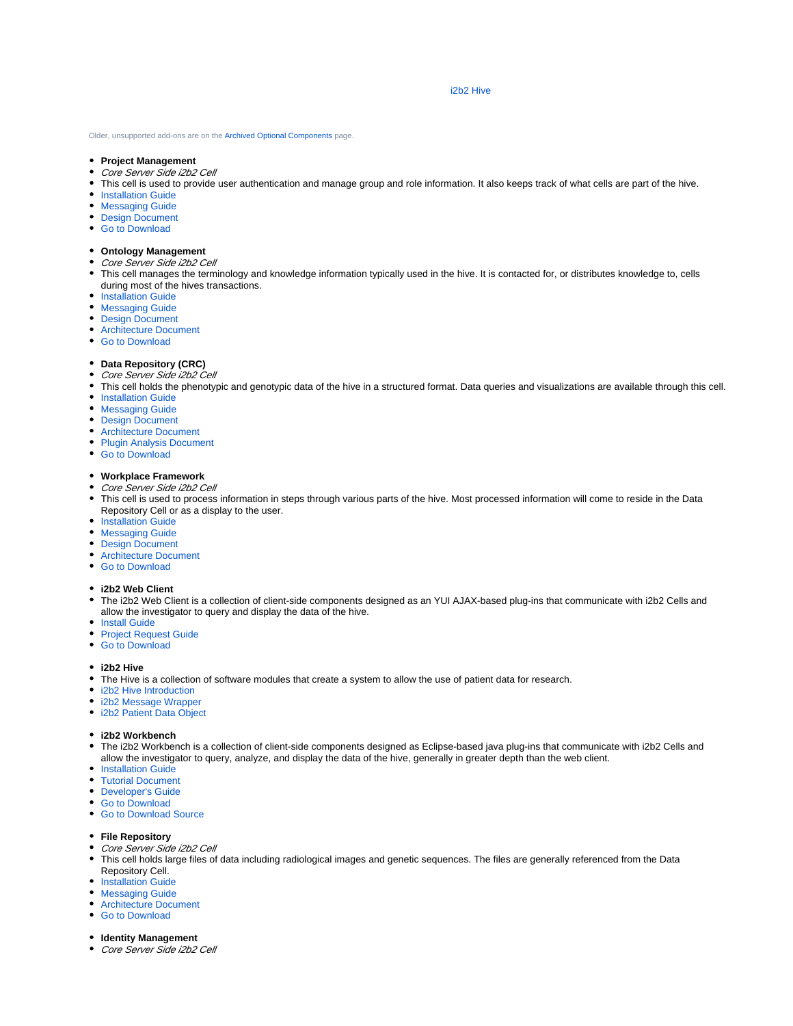#### i2b2 Hive

Older, unsupported add-ons are on the [Archived Optional Components](https://www.i2b2.org/software/archive_optional.html) page.

- **Project Management**
- Core Server Side i2b2 Cell
- This cell is used to provide user authentication and manage group and role information. It also keeps track of what cells are part of the hive.
- **[Installation Guide](https://community.i2b2.org/wiki/display/getstarted/Chapter+5.+Project+Management+%28PM%29+Cell+Install)**
- **[Messaging Guide](https://community.i2b2.org/wiki/display/ServerellsMessagingHome/Project+Management+%28PM%29+Cell)**
- [Design Document](https://community.i2b2.org/wiki/display/ServerSideDesign/Project+Management+%28PM%29+Cell)
- [Go to Download](https://github.com/i2b2/i2b2-core-server/releases)
- 
- **Ontology Management**
- Core Server Side i2b2 Cell
- This cell manages the terminology and knowledge information typically used in the hive. It is contacted for, or distributes knowledge to, cells during most of the hives transactions.
- **[Installation Guide](https://community.i2b2.org/wiki/display/getstarted/Chapter+9.+Ontology+Management+%28ONT%29+Cell+Install)**
- **[Messaging Guide](https://community.i2b2.org/wiki/display/ServerellsMessagingHome/Ontology+Management+%28ONT%29+Cell)**
- [Design Document](https://community.i2b2.org/wiki/display/ServerSideDesign/Ontology+Management+%28ONT%29+Cell)
- [Architecture Document](https://community.i2b2.org/wiki/display/ServersideArchitectureHome/Ontology+Management+%28ONT%29+Cell)
- [Go to Download](https://github.com/i2b2/i2b2-core-server/releases)

#### **Data Repository (CRC)**

- Core Server Side i2b2 Cell
- This cell holds the phenotypic and genotypic data of the hive in a structured format. Data queries and visualizations are available through this cell.
- **[Installation Guide](https://community.i2b2.org/wiki/display/getstarted/Chapter+10.+Data+Repository+%28CRC%29+Cell+Install)**
- [Messaging Guide](https://community.i2b2.org/wiki/display/ServerellsMessagingHome/Data+Repository+%28CRC%29+Cell)
- [Design Document](https://community.i2b2.org/wiki/display/ServerSideDesign/Data+Repository+%28CRC%29+Cell)
- [Architecture Document](https://community.i2b2.org/wiki/display/ServersideArchitectureHome/Data+Repository+%28CRC%29+Cell)
- [Plugin Analysis Document](https://www.i2b2.org/software/files/PDF/current/CRC_Plugin_Analysis.pdf)
- [Go to Download](https://github.com/i2b2/i2b2-core-server/releases)

### **Workplace Framework**

- Core Server Side i2b2 Cell
- This cell is used to process information in steps through various parts of the hive. Most processed information will come to reside in the Data Repository Cell or as a display to the user.
- [Installation Guide](https://community.i2b2.org/wiki/display/getstarted/Chapter+11.+Workplace+%28WORK%29+Cell+Install)
- **[Messaging Guide](https://community.i2b2.org/wiki/display/ServerellsMessagingHome/Workplace+Framework+%28WORK%29+Cell)**
- [Design Document](https://community.i2b2.org/wiki/display/ServerSideDesign/Workplace+Framework+%28WORK%29+Cell)
- [Architecture Document](https://community.i2b2.org/wiki/display/ServersideArchitectureHome/Workplace+Framework+%28WORK%29+Cells)
- [Go to Download](https://github.com/i2b2/i2b2-core-server/releases)
- **i2b2 Web Client**
- The i2b2 Web Client is a collection of client-side components designed as an YUI AJAX-based plug-ins that communicate with i2b2 Cells and allow the investigator to query and display the data of the hive.
- **[Install Guide](https://community.i2b2.org/wiki/display/getstarted/Chapter+7.+i2b2+Web+Client+Install)**
- **[Project Request Guide](https://www.i2b2.org/software/files/PDF/current/ProjectRequest_Install_Guide.pdf)**
- [Go to Download](https://github.com/i2b2/i2b2-webclient/releases)

#### **i2b2 Hive**

- The Hive is a collection of software modules that create a system to allow the use of patient data for research.
- [i2b2 Hive Introduction](https://www.i2b2.org/software/files/PDF/current/HiveIntroduction.pdf)
- [i2b2 Message Wrapper](https://www.i2b2.org/software/files/PDF/current/MessageWrapper.pdf)
- [i2b2 Patient Data Object](https://www.i2b2.org/software/files/PDF/current/PatientDataObject.pdf)
- **i2b2 Workbench**
- The i2b2 Workbench is a collection of client-side components designed as Eclipse-based java plug-ins that communicate with i2b2 Cells and allow the investigator to query, analyze, and display the data of the hive, generally in greater depth than the web client.
- **[Installation Guide](https://community.i2b2.org/wiki/pages/viewpage.action?pageId=23888719)**
- [Tutorial Document](https://www.i2b2.org/software/files/PDF/current/i2b2Workbench_Tutorial.pdf)
- [Developer's Guide](https://community.i2b2.org/wiki/display/WB/Workbench+Developers+Guide)
- [Go to Download](https://community.i2b2.org/wiki/display/WB/Workbench+Software)
- [Go to Download Source](https://github.com/i2b2/i2b2-workbench/releases)

#### **File Repository**

- Core Server Side i2b2 Cell
- This cell holds large files of data including radiological images and genetic sequences. The files are generally referenced from the Data Repository Cell.
- **[Installation Guide](https://community.i2b2.org/wiki/display/getstarted/Chapter+12.+File+Repository+%28FR%29+Cell+Install)**
- **[Messaging Guide](https://www.i2b2.org/software/files/PDF/current/FR_Messaging.pdf)**
- [Architecture Document](https://www.i2b2.org/software/files/PDF/current/FR_Architecture.pdf)
- [Go to Download](https://github.com/i2b2/i2b2-core-server/releases)
- **Identity Management**
- Core Server Side i2b2 Cell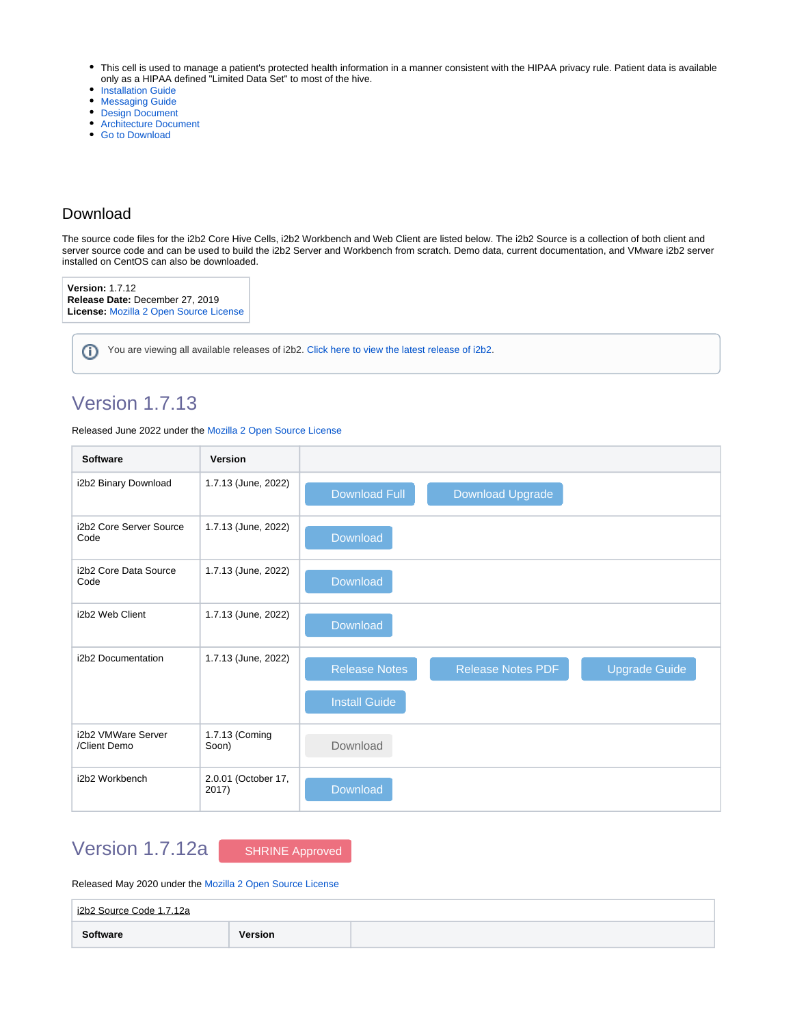- This cell is used to manage a patient's protected health information in a manner consistent with the HIPAA privacy rule. Patient data is available only as a HIPAA defined "Limited Data Set" to most of the hive.
- [Installation Guide](https://community.i2b2.org/wiki/display/getstarted/Chapter+13.+Identity+Management+%28IM%29+Cell+Install)
- **[Messaging Guide](https://www.i2b2.org/software/files/PDF/current/IM_Messaging.pdf)**
- [Design Document](https://www.i2b2.org/software/files/PDF/current/IM_Design.pdf)
- [Architecture Document](https://www.i2b2.org/software/files/PDF/current/IM_Architecture.pdf)
- [Go to Download](https://github.com/i2b2/i2b2-core-server/releases)

## Download

⋒

The source code files for the i2b2 Core Hive Cells, i2b2 Workbench and Web Client are listed below. The i2b2 Source is a collection of both client and server source code and can be used to build the i2b2 Server and Workbench from scratch. Demo data, current documentation, and VMware i2b2 server installed on CentOS can also be downloaded.

**Version:** 1.7.12 **Release Date:** December 27, 2019 **License:** [Mozilla 2 Open Source License](https://www.i2b2.org/software/i2b2_license.html)

You are viewing all available releases of i2b2. [Click here to view the latest release of i2b2.](https://community.i2b2.org/wiki/display/i2b2/i2b2+Software+Downloads+Links)

## Version 1.7.13

Released June 2022 under the [Mozilla 2 Open Source License](https://www.i2b2.org/software/i2b2_license.html)

| <b>Software</b>                    | Version                      |                                                                          |
|------------------------------------|------------------------------|--------------------------------------------------------------------------|
| i2b2 Binary Download               | 1.7.13 (June, 2022)          | <b>Download Full</b><br><b>Download Upgrade</b>                          |
| i2b2 Core Server Source<br>Code    | 1.7.13 (June, 2022)          | Download                                                                 |
| i2b2 Core Data Source<br>Code      | 1.7.13 (June, 2022)          | Download                                                                 |
| i2b2 Web Client                    | 1.7.13 (June, 2022)          | Download                                                                 |
| i2b2 Documentation                 | 1.7.13 (June, 2022)          | <b>Release Notes PDF</b><br><b>Upgrade Guide</b><br><b>Release Notes</b> |
|                                    |                              | <b>Install Guide</b>                                                     |
| i2b2 VMWare Server<br>/Client Demo | 1.7.13 (Coming<br>Soon)      | Download                                                                 |
| i2b2 Workbench                     | 2.0.01 (October 17,<br>2017) | Download                                                                 |

## Version 1.7.12a [SHRINE Approved](https://open.med.harvard.edu/wiki/display/SHRINE/SHRINE-i2b2+Compatibility+Matrix)

### Released May 2020 under the [Mozilla 2 Open Source License](https://www.i2b2.org/software/i2b2_license.html)

| i2b2 Source Code 1.7.12a |                |  |  |  |  |  |  |
|--------------------------|----------------|--|--|--|--|--|--|
| Software                 | <b>Version</b> |  |  |  |  |  |  |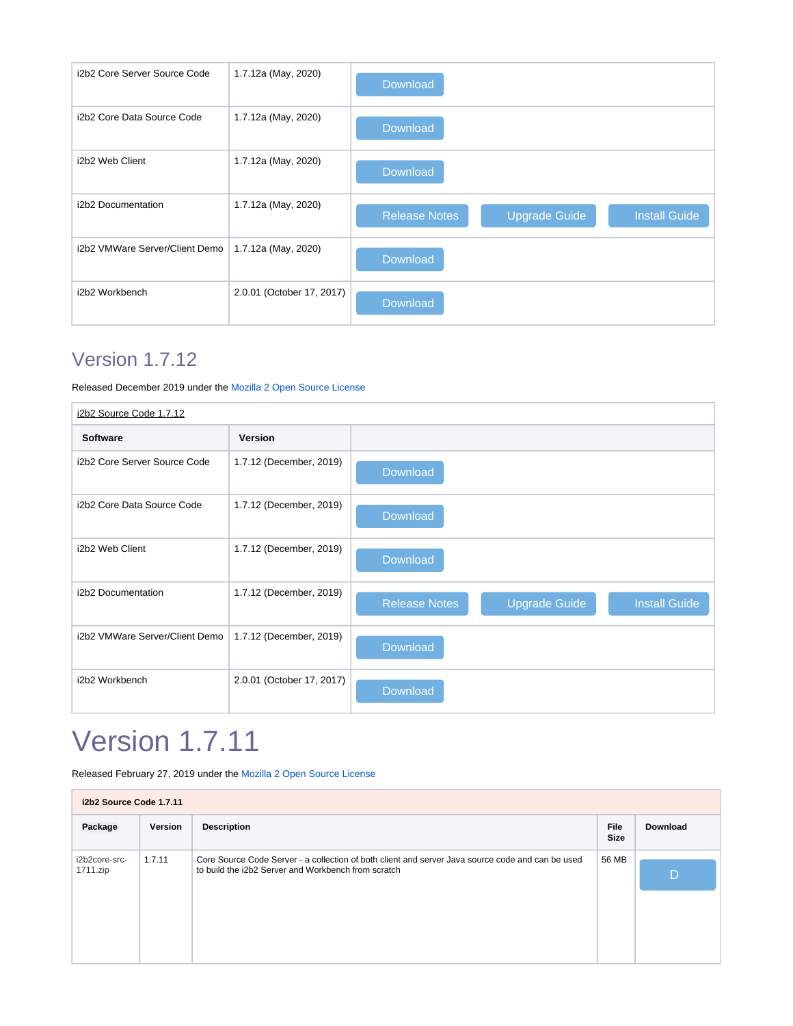| i2b2 Core Server Source Code   | 1.7.12a (May, 2020)       | Download                                                             |
|--------------------------------|---------------------------|----------------------------------------------------------------------|
| i2b2 Core Data Source Code     | 1.7.12a (May, 2020)       | <b>Download</b>                                                      |
| i2b2 Web Client                | 1.7.12a (May, 2020)       | <b>Download</b>                                                      |
| i2b2 Documentation             | 1.7.12a (May, 2020)       | <b>Release Notes</b><br><b>Upgrade Guide</b><br><b>Install Guide</b> |
| i2b2 VMWare Server/Client Demo | 1.7.12a (May, 2020)       | Download                                                             |
| i2b2 Workbench                 | 2.0.01 (October 17, 2017) | Download                                                             |

# Version 1.7.12

Released December 2019 under the [Mozilla 2 Open Source License](https://www.i2b2.org/software/i2b2_license.html)

| i2b2 Source Code 1.7.12        |                           |                                                                      |  |  |  |  |  |
|--------------------------------|---------------------------|----------------------------------------------------------------------|--|--|--|--|--|
| <b>Software</b>                | <b>Version</b>            |                                                                      |  |  |  |  |  |
| i2b2 Core Server Source Code   | 1.7.12 (December, 2019)   | <b>Download</b>                                                      |  |  |  |  |  |
| i2b2 Core Data Source Code     | 1.7.12 (December, 2019)   | Download                                                             |  |  |  |  |  |
| i2b2 Web Client                | 1.7.12 (December, 2019)   | <b>Download</b>                                                      |  |  |  |  |  |
| i2b2 Documentation             | 1.7.12 (December, 2019)   | <b>Release Notes</b><br><b>Upgrade Guide</b><br><b>Install Guide</b> |  |  |  |  |  |
| i2b2 VMWare Server/Client Demo | 1.7.12 (December, 2019)   | Download                                                             |  |  |  |  |  |
| i2b2 Workbench                 | 2.0.01 (October 17, 2017) | Download                                                             |  |  |  |  |  |

# Version 1.7.11

Released February 27, 2019 under the [Mozilla 2 Open Source License](https://www.i2b2.org/software/i2b2_license.html)

| i2b2 Source Code 1.7.11   |         |                                                                                                   |                            |                 |  |  |
|---------------------------|---------|---------------------------------------------------------------------------------------------------|----------------------------|-----------------|--|--|
| Package                   | Version | <b>Description</b>                                                                                | <b>File</b><br><b>Size</b> | <b>Download</b> |  |  |
| i2b2core-src-<br>1711.zip | 1.7.11  | Core Source Code Server - a collection of both client and server Java source code and can be used | 56 MB                      |                 |  |  |
|                           |         | to build the i2b2 Server and Workbench from scratch                                               |                            | D               |  |  |
|                           |         |                                                                                                   |                            |                 |  |  |
|                           |         |                                                                                                   |                            |                 |  |  |
|                           |         |                                                                                                   |                            |                 |  |  |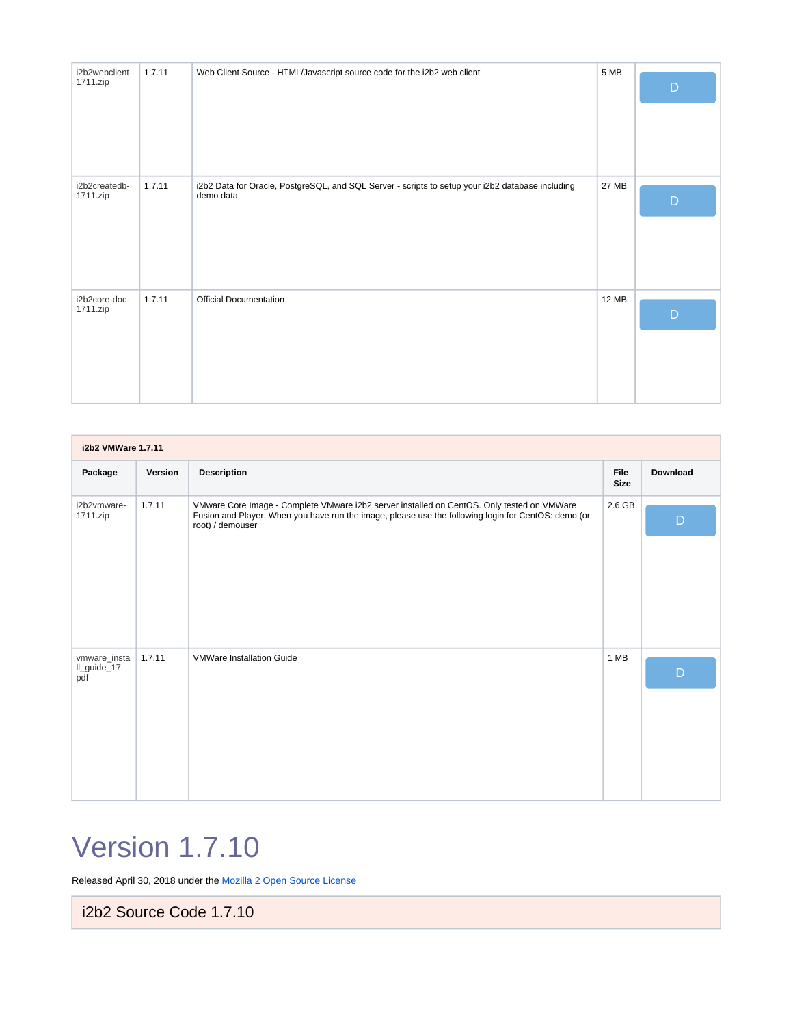| i2b2webclient-<br>1711.zip | 1.7.11 | Web Client Source - HTML/Javascript source code for the i2b2 web client                                       | 5 MB         | D |
|----------------------------|--------|---------------------------------------------------------------------------------------------------------------|--------------|---|
| i2b2createdb-<br>1711.zip  | 1.7.11 | i2b2 Data for Oracle, PostgreSQL, and SQL Server - scripts to setup your i2b2 database including<br>demo data | 27 MB        | D |
| i2b2core-doc-<br>1711.zip  | 1.7.11 | <b>Official Documentation</b>                                                                                 | <b>12 MB</b> | D |

| i2b2 VMWare 1.7.11                  |         |                                                                                                                                                                                                                       |                            |                 |  |  |  |
|-------------------------------------|---------|-----------------------------------------------------------------------------------------------------------------------------------------------------------------------------------------------------------------------|----------------------------|-----------------|--|--|--|
| Package                             | Version | <b>Description</b>                                                                                                                                                                                                    | <b>File</b><br><b>Size</b> | <b>Download</b> |  |  |  |
| i2b2vmware-<br>1711.zip             | 1.7.11  | VMware Core Image - Complete VMware i2b2 server installed on CentOS. Only tested on VMWare<br>Fusion and Player. When you have run the image, please use the following login for CentOS: demo (or<br>root) / demouser | 2.6 GB                     | $\mathsf{D}$    |  |  |  |
| vmware_insta<br>Il_guide_17.<br>pdf | 1.7.11  | <b>VMWare Installation Guide</b>                                                                                                                                                                                      | 1 MB                       | D               |  |  |  |

# Version 1.7.10

Released April 30, 2018 under the [Mozilla 2 Open Source License](https://www.i2b2.org/software/i2b2_license.html)

i2b2 Source Code 1.7.10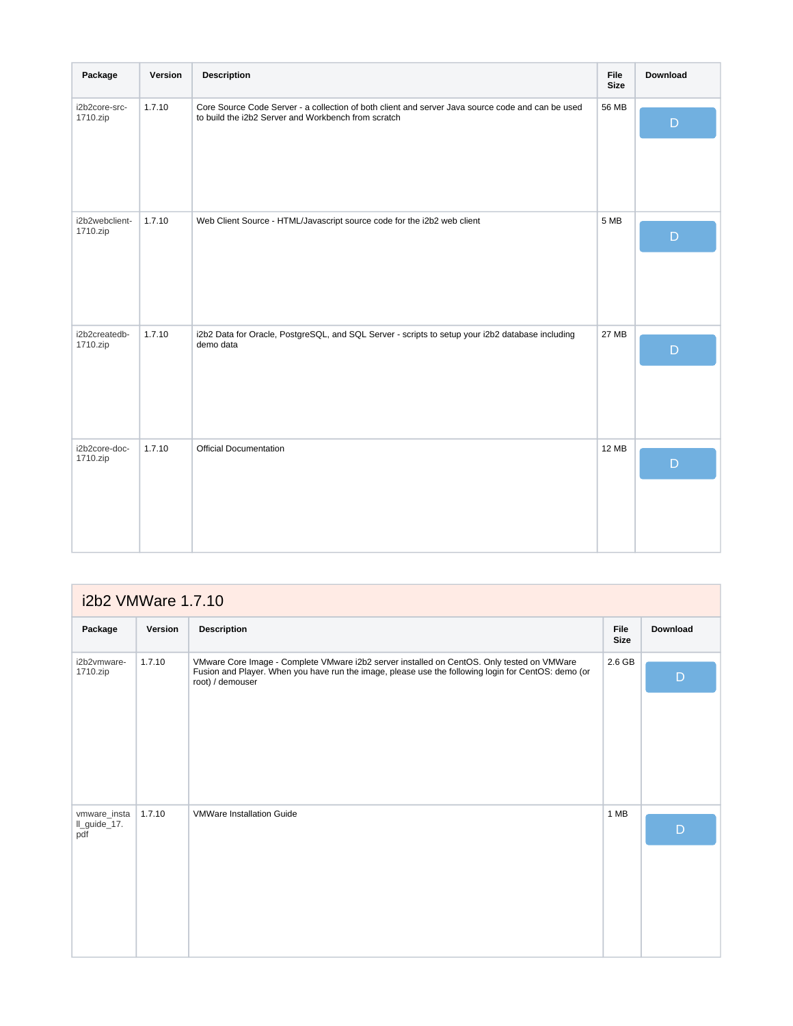| Package                    | Version | <b>Description</b>                                                                                                                                       | <b>File</b><br><b>Size</b> | Download     |
|----------------------------|---------|----------------------------------------------------------------------------------------------------------------------------------------------------------|----------------------------|--------------|
| i2b2core-src-<br>1710.zip  | 1.7.10  | Core Source Code Server - a collection of both client and server Java source code and can be used<br>to build the i2b2 Server and Workbench from scratch | 56 MB                      | $\mathsf{D}$ |
| i2b2webclient-<br>1710.zip | 1.7.10  | Web Client Source - HTML/Javascript source code for the i2b2 web client                                                                                  | 5 MB                       | D            |
| i2b2createdb-<br>1710.zip  | 1.7.10  | i2b2 Data for Oracle, PostgreSQL, and SQL Server - scripts to setup your i2b2 database including<br>demo data                                            | <b>27 MB</b>               | $\mathsf{D}$ |
| i2b2core-doc-<br>1710.zip  | 1.7.10  | <b>Official Documentation</b>                                                                                                                            | <b>12 MB</b>               | D            |

| i2b2 VMWare 1.7.10                  |         |                                                                                                                                                                                                                       |                            |                 |  |  |  |  |
|-------------------------------------|---------|-----------------------------------------------------------------------------------------------------------------------------------------------------------------------------------------------------------------------|----------------------------|-----------------|--|--|--|--|
| Package                             | Version | <b>Description</b>                                                                                                                                                                                                    | <b>File</b><br><b>Size</b> | <b>Download</b> |  |  |  |  |
| i2b2vmware-<br>1710.zip             | 1.7.10  | VMware Core Image - Complete VMware i2b2 server installed on CentOS. Only tested on VMWare<br>Fusion and Player. When you have run the image, please use the following login for CentOS: demo (or<br>root) / demouser | 2.6 GB                     | $\mathsf{D}$    |  |  |  |  |
| vmware_insta<br>Il_guide_17.<br>pdf | 1.7.10  | <b>VMWare Installation Guide</b>                                                                                                                                                                                      | 1 MB                       | D               |  |  |  |  |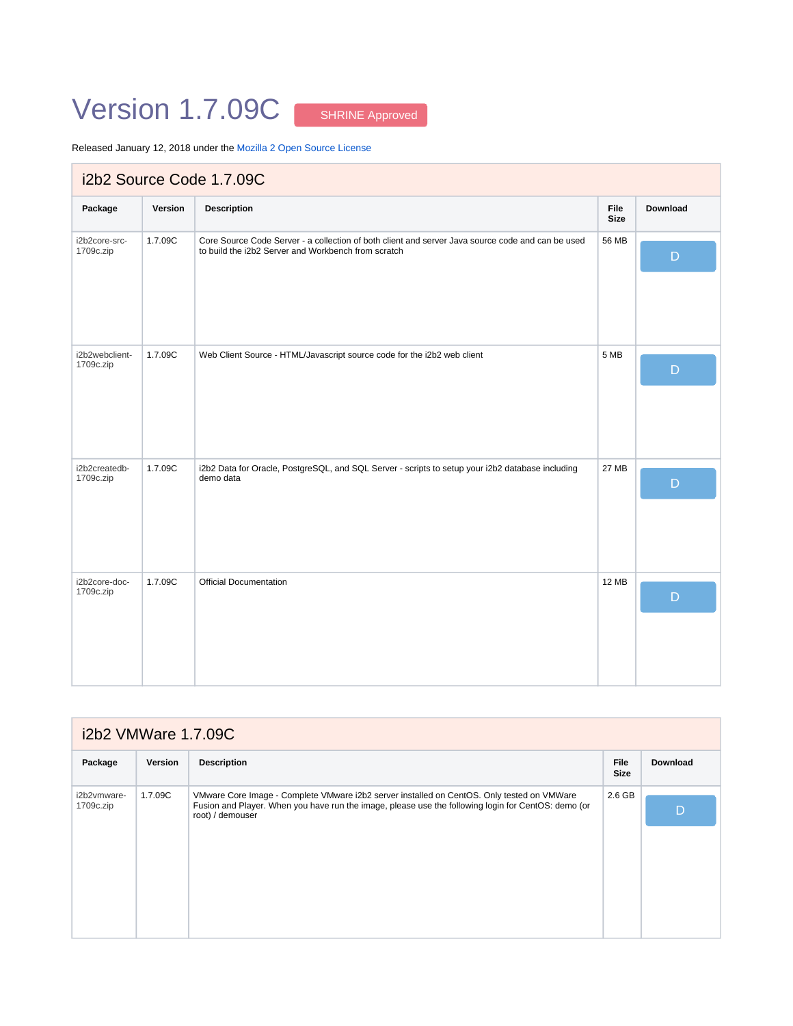# Version 1.7.09C [SHRINE Approved](https://open.med.harvard.edu/wiki/display/SHRINE/SHRINE-i2b2+Compatibility+Matrix)

Released January 12, 2018 under the [Mozilla 2 Open Source License](https://www.i2b2.org/software/i2b2_license.html)

| i2b2 Source Code 1.7.09C    |         |                                                                                                                                                          |                            |                 |  |  |
|-----------------------------|---------|----------------------------------------------------------------------------------------------------------------------------------------------------------|----------------------------|-----------------|--|--|
| Package                     | Version | <b>Description</b>                                                                                                                                       | <b>File</b><br><b>Size</b> | <b>Download</b> |  |  |
| i2b2core-src-<br>1709c.zip  | 1.7.09C | Core Source Code Server - a collection of both client and server Java source code and can be used<br>to build the i2b2 Server and Workbench from scratch | 56 MB                      | $\mathsf{D}$    |  |  |
| i2b2webclient-<br>1709c.zip | 1.7.09C | Web Client Source - HTML/Javascript source code for the i2b2 web client                                                                                  | 5 MB                       | $\mathsf{D}$    |  |  |
| i2b2createdb-<br>1709c.zip  | 1.7.09C | i2b2 Data for Oracle, PostgreSQL, and SQL Server - scripts to setup your i2b2 database including<br>demo data                                            | <b>27 MB</b>               | D               |  |  |
| i2b2core-doc-<br>1709c.zip  | 1.7.09C | <b>Official Documentation</b>                                                                                                                            | <b>12 MB</b>               | D               |  |  |

| i2b2 VMWare 1.7.09C      |         |                                                                                                                                                                                                                       |                            |                 |  |  |  |
|--------------------------|---------|-----------------------------------------------------------------------------------------------------------------------------------------------------------------------------------------------------------------------|----------------------------|-----------------|--|--|--|
| Package                  | Version | <b>Description</b>                                                                                                                                                                                                    | <b>File</b><br><b>Size</b> | <b>Download</b> |  |  |  |
| i2b2vmware-<br>1709c.zip | 1.7.09C | VMware Core Image - Complete VMware i2b2 server installed on CentOS. Only tested on VMWare<br>Fusion and Player. When you have run the image, please use the following login for CentOS: demo (or<br>root) / demouser | $2.6$ GB                   | D               |  |  |  |